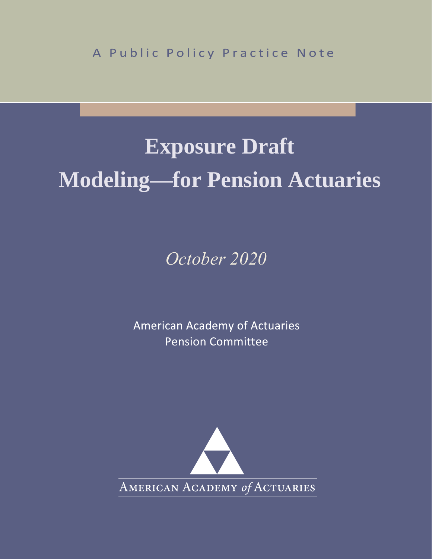A Public Policy Practice Note

# **Exposure Draft Modeling—for Pension Actuaries**

*October 2020*

**American Academy of Actuaries** Pension Committee

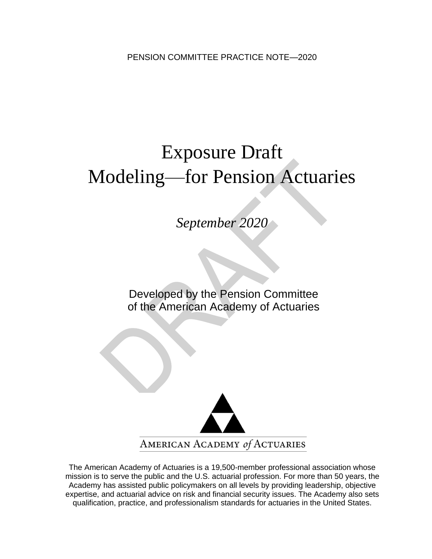# Exposure Draft Modeling—for Pension Actuaries

*September 2020*

Developed by the Pension Committee of the American Academy of Actuaries

í



The American Academy of Actuaries is a 19,500-member professional association whose mission is to serve the public and the U.S. actuarial profession. For more than 50 years, the Academy has assisted public policymakers on all levels by providing leadership, objective expertise, and actuarial advice on risk and financial security issues. The Academy also sets qualification, practice, and professionalism standards for actuaries in the United States.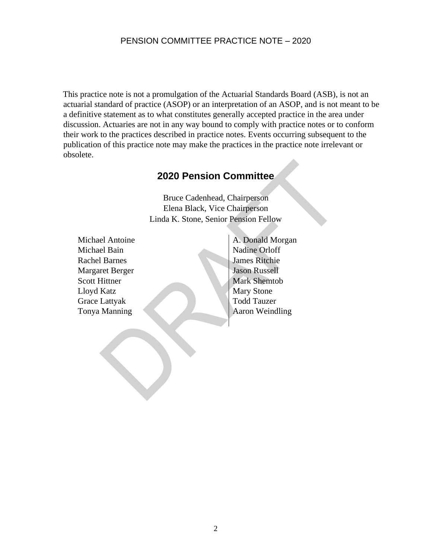This practice note is not a promulgation of the Actuarial Standards Board (ASB), is not an actuarial standard of practice (ASOP) or an interpretation of an ASOP, and is not meant to be a definitive statement as to what constitutes generally accepted practice in the area under discussion. Actuaries are not in any way bound to comply with practice notes or to conform their work to the practices described in practice notes. Events occurring subsequent to the publication of this practice note may make the practices in the practice note irrelevant or obsolete.

## **2020 Pension Committee**

Bruce Cadenhead, Chairperson Elena Black, Vice Chairperson Linda K. Stone, Senior Pension Fellow

Michael Antoine Michael Bain Rachel Barnes Margaret Berger Scott Hittner Lloyd Katz Grace Lattyak Tonya Manning

A. Donald Morgan Nadine Orloff James Ritchie Jason Russell Mark Shemtob Mary Stone Todd Tauzer Aaron Weindling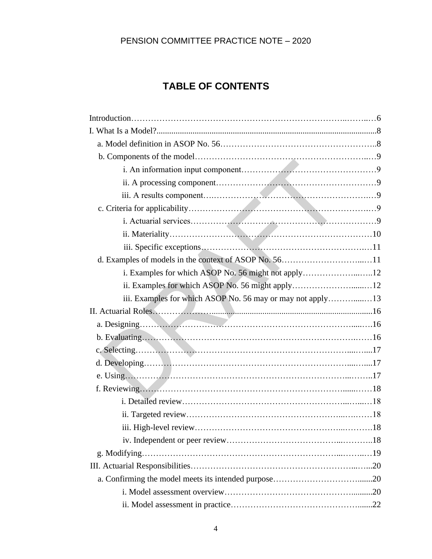# **TABLE OF CONTENTS**

| d. Examples of models in the context of ASOP No. 5611      |  |
|------------------------------------------------------------|--|
| i. Examples for which ASOP No. 56 might not apply12        |  |
|                                                            |  |
| iii. Examples for which ASOP No. 56 may or may not apply13 |  |
| II. Actuarial Roles                                        |  |
|                                                            |  |
|                                                            |  |
|                                                            |  |
|                                                            |  |
|                                                            |  |
|                                                            |  |
|                                                            |  |
|                                                            |  |
|                                                            |  |
|                                                            |  |
|                                                            |  |
|                                                            |  |
|                                                            |  |
|                                                            |  |
|                                                            |  |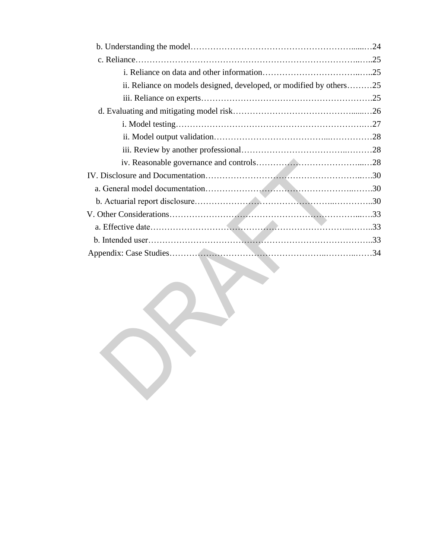| ii. Reliance on models designed, developed, or modified by others25 |  |
|---------------------------------------------------------------------|--|
|                                                                     |  |
|                                                                     |  |
|                                                                     |  |
|                                                                     |  |
|                                                                     |  |
|                                                                     |  |
|                                                                     |  |
|                                                                     |  |
|                                                                     |  |
|                                                                     |  |
|                                                                     |  |
|                                                                     |  |
|                                                                     |  |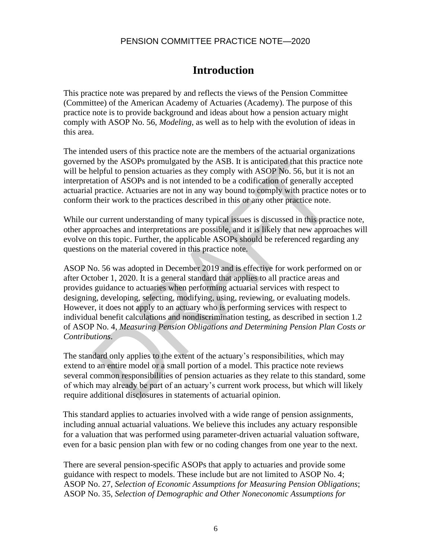# **Introduction**

This practice note was prepared by and reflects the views of the Pension Committee (Committee) of the American Academy of Actuaries (Academy). The purpose of this practice note is to provide background and ideas about how a pension actuary might comply with ASOP No. 56, *Modeling*, as well as to help with the evolution of ideas in this area.

The intended users of this practice note are the members of the actuarial organizations governed by the ASOPs promulgated by the ASB. It is anticipated that this practice note will be helpful to pension actuaries as they comply with ASOP No. 56, but it is not an interpretation of ASOPs and is not intended to be a codification of generally accepted actuarial practice. Actuaries are not in any way bound to comply with practice notes or to conform their work to the practices described in this or any other practice note.

While our current understanding of many typical issues is discussed in this practice note, other approaches and interpretations are possible, and it is likely that new approaches will evolve on this topic. Further, the applicable ASOPs should be referenced regarding any questions on the material covered in this practice note.

ASOP No. 56 was adopted in December 2019 and is effective for work performed on or after October 1, 2020. It is a general standard that applies to all practice areas and provides guidance to actuaries when performing actuarial services with respect to designing, developing, selecting, modifying, using, reviewing, or evaluating models. However, it does not apply to an actuary who is performing services with respect to individual benefit calculations and nondiscrimination testing, as described in section 1.2 of ASOP No. 4, *Measuring Pension Obligations and Determining Pension Plan Costs or Contributions*.

The standard only applies to the extent of the actuary's responsibilities, which may extend to an entire model or a small portion of a model. This practice note reviews several common responsibilities of pension actuaries as they relate to this standard, some of which may already be part of an actuary's current work process, but which will likely require additional disclosures in statements of actuarial opinion.

This standard applies to actuaries involved with a wide range of pension assignments, including annual actuarial valuations. We believe this includes any actuary responsible for a valuation that was performed using parameter-driven actuarial valuation software, even for a basic pension plan with few or no coding changes from one year to the next.

There are several pension-specific ASOPs that apply to actuaries and provide some guidance with respect to models. These include but are not limited to ASOP No. 4; ASOP No. 27, *Selection of Economic Assumptions for Measuring Pension Obligations*; ASOP No. 35, *Selection of Demographic and Other Noneconomic Assumptions for*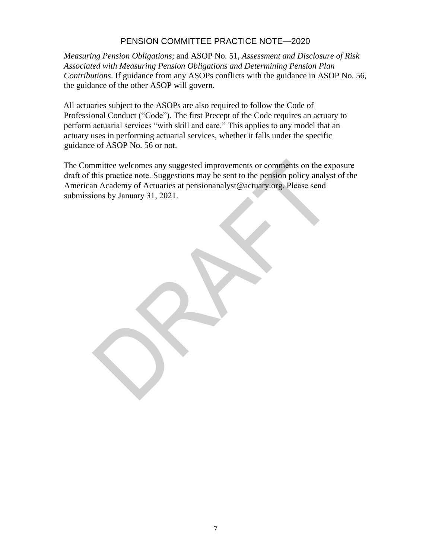*Measuring Pension Obligations*; and ASOP No. 51, *Assessment and Disclosure of Risk Associated with Measuring Pension Obligations and Determining Pension Plan Contributions*. If guidance from any ASOPs conflicts with the guidance in ASOP No. 56, the guidance of the other ASOP will govern.

All actuaries subject to the ASOPs are also required to follow the Code of Professional Conduct ("Code"). The first Precept of the Code requires an actuary to perform actuarial services "with skill and care." This applies to any model that an actuary uses in performing actuarial services, whether it falls under the specific guidance of ASOP No. 56 or not.

The Committee welcomes any suggested improvements or comments on the exposure draft of this practice note. Suggestions may be sent to the pension policy analyst of the American Academy of Actuaries at pensionanalyst@actuary.org. Please send submissions by January 31, 2021.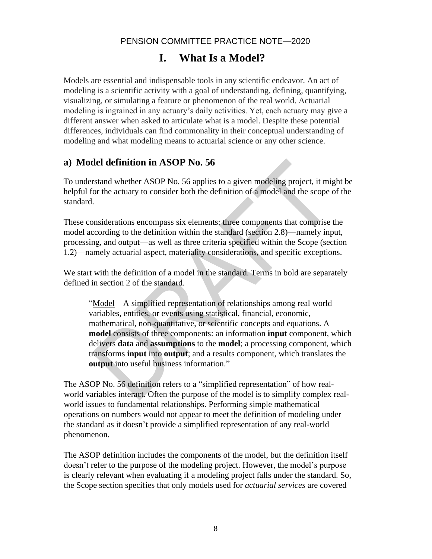# **I. What Is a Model?**

Models are essential and indispensable tools in any scientific endeavor. An act of modeling is a scientific activity with a goal of understanding, defining, quantifying, visualizing, or simulating a feature or phenomenon of the real world. Actuarial modeling is ingrained in any actuary's daily activities. Yet, each actuary may give a different answer when asked to articulate what is a model. Despite these potential differences, individuals can find commonality in their conceptual understanding of modeling and what modeling means to actuarial science or any other science.

## **a) Model definition in ASOP No. 56**

To understand whether ASOP No. 56 applies to a given modeling project, it might be helpful for the actuary to consider both the definition of a model and the scope of the standard.

These considerations encompass six elements: three components that comprise the model according to the definition within the standard (section 2.8)—namely input, processing, and output—as well as three criteria specified within the Scope (section 1.2)—namely actuarial aspect, materiality considerations, and specific exceptions.

We start with the definition of a model in the standard. Terms in bold are separately defined in section 2 of the standard.

"Model—A simplified representation of relationships among real world variables, entities, or events using statistical, financial, economic, mathematical, non-quantitative, or scientific concepts and equations. A **model** consists of three components: an information **input** component, which delivers **data** and **assumptions** to the **model**; a processing component, which transforms **input** into **output**; and a results component, which translates the **output** into useful business information."

The ASOP No. 56 definition refers to a "simplified representation" of how realworld variables interact. Often the purpose of the model is to simplify complex realworld issues to fundamental relationships. Performing simple mathematical operations on numbers would not appear to meet the definition of modeling under the standard as it doesn't provide a simplified representation of any real-world phenomenon.

The ASOP definition includes the components of the model, but the definition itself doesn't refer to the purpose of the modeling project. However, the model's purpose is clearly relevant when evaluating if a modeling project falls under the standard. So, the Scope section specifies that only models used for *actuarial services* are covered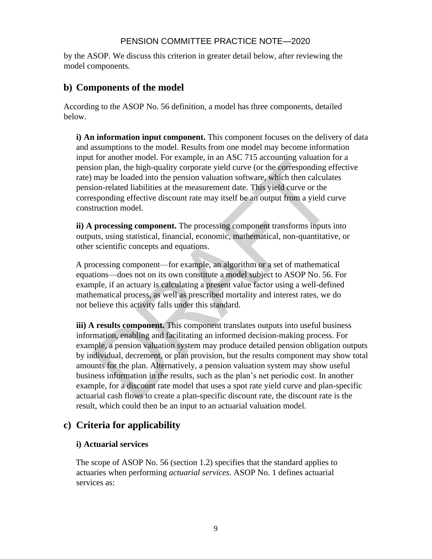by the ASOP. We discuss this criterion in greater detail below, after reviewing the model components.

## **b) Components of the model**

According to the ASOP No. 56 definition, a model has three components, detailed below.

**i) An information input component.** This component focuses on the delivery of data and assumptions to the model. Results from one model may become information input for another model. For example, in an ASC 715 accounting valuation for a pension plan, the high-quality corporate yield curve (or the corresponding effective rate) may be loaded into the pension valuation software, which then calculates pension-related liabilities at the measurement date. This yield curve or the corresponding effective discount rate may itself be an output from a yield curve construction model.

**ii) A processing component.** The processing component transforms inputs into outputs, using statistical, financial, economic, mathematical, non-quantitative, or other scientific concepts and equations.

A processing component—for example, an algorithm or a set of mathematical equations—does not on its own constitute a model subject to ASOP No. 56. For example, if an actuary is calculating a present value factor using a well-defined mathematical process, as well as prescribed mortality and interest rates, we do not believe this activity falls under this standard.

**iii) A results component.** This component translates outputs into useful business information, enabling and facilitating an informed decision-making process. For example, a pension valuation system may produce detailed pension obligation outputs by individual, decrement, or plan provision, but the results component may show total amounts for the plan. Alternatively, a pension valuation system may show useful business information in the results, such as the plan's net periodic cost. In another example, for a discount rate model that uses a spot rate yield curve and plan-specific actuarial cash flows to create a plan-specific discount rate, the discount rate is the result, which could then be an input to an actuarial valuation model.

## **c) Criteria for applicability**

#### **i) Actuarial services**

The scope of ASOP No. 56 (section 1.2) specifies that the standard applies to actuaries when performing *actuarial services*. ASOP No. 1 defines actuarial services as: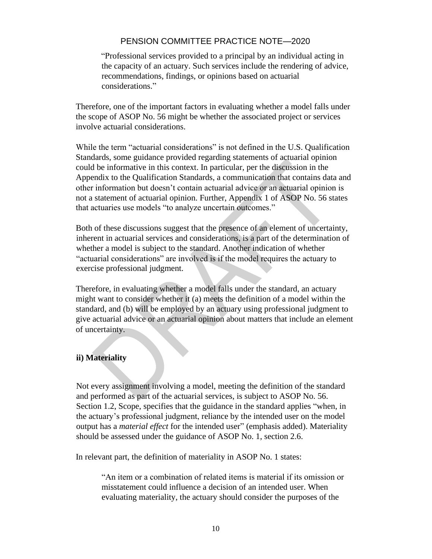"Professional services provided to a principal by an individual acting in the capacity of an actuary. Such services include the rendering of advice, recommendations, findings, or opinions based on actuarial considerations."

Therefore, one of the important factors in evaluating whether a model falls under the scope of ASOP No. 56 might be whether the associated project or services involve actuarial considerations.

While the term "actuarial considerations" is not defined in the U.S. Qualification Standards, some guidance provided regarding statements of actuarial opinion could be informative in this context. In particular, per the discussion in the Appendix to the Qualification Standards, a communication that contains data and other information but doesn't contain actuarial advice or an actuarial opinion is not a statement of actuarial opinion. Further, Appendix 1 of ASOP No. 56 states that actuaries use models "to analyze uncertain outcomes."

Both of these discussions suggest that the presence of an element of uncertainty, inherent in actuarial services and considerations, is a part of the determination of whether a model is subject to the standard. Another indication of whether "actuarial considerations" are involved is if the model requires the actuary to exercise professional judgment.

Therefore, in evaluating whether a model falls under the standard, an actuary might want to consider whether it (a) meets the definition of a model within the standard, and (b) will be employed by an actuary using professional judgment to give actuarial advice or an actuarial opinion about matters that include an element of uncertainty.

#### **ii) Materiality**

Not every assignment involving a model, meeting the definition of the standard and performed as part of the actuarial services, is subject to ASOP No. 56. Section 1.2, Scope, specifies that the guidance in the standard applies "when, in the actuary's professional judgment, reliance by the intended user on the model output has a *material effect* for the intended user" (emphasis added). Materiality should be assessed under the guidance of ASOP No. 1, section 2.6.

In relevant part, the definition of materiality in ASOP No. 1 states:

"An item or a combination of related items is material if its omission or misstatement could influence a decision of an intended user. When evaluating materiality, the actuary should consider the purposes of the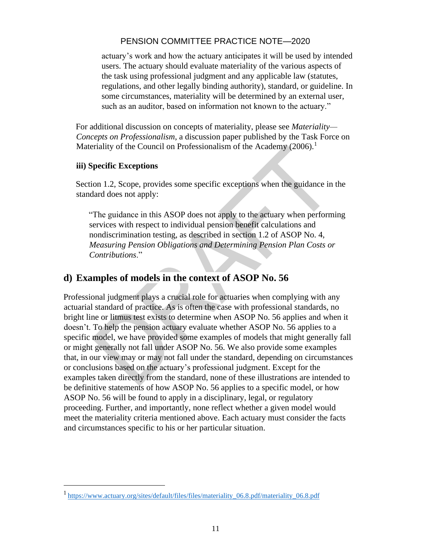actuary's work and how the actuary anticipates it will be used by intended users. The actuary should evaluate materiality of the various aspects of the task using professional judgment and any applicable law (statutes, regulations, and other legally binding authority), standard, or guideline. In some circumstances, materiality will be determined by an external user, such as an auditor, based on information not known to the actuary."

For additional discussion on concepts of materiality, please see *Materiality— Concepts on Professionalism*, a discussion paper published by the Task Force on Materiality of the Council on Professionalism of the Academy  $(2006)$ .<sup>1</sup>

#### **iii) Specific Exceptions**

Section 1.2, Scope, provides some specific exceptions when the guidance in the standard does not apply:

"The guidance in this ASOP does not apply to the actuary when performing services with respect to individual pension benefit calculations and nondiscrimination testing, as described in section 1.2 of ASOP No. 4, *Measuring Pension Obligations and Determining Pension Plan Costs or Contributions*."

## **d) Examples of models in the context of ASOP No. 56**

Professional judgment plays a crucial role for actuaries when complying with any actuarial standard of practice. As is often the case with professional standards, no bright line or litmus test exists to determine when ASOP No. 56 applies and when it doesn't. To help the pension actuary evaluate whether ASOP No. 56 applies to a specific model, we have provided some examples of models that might generally fall or might generally not fall under ASOP No. 56. We also provide some examples that, in our view may or may not fall under the standard, depending on circumstances or conclusions based on the actuary's professional judgment. Except for the examples taken directly from the standard, none of these illustrations are intended to be definitive statements of how ASOP No. 56 applies to a specific model, or how ASOP No. 56 will be found to apply in a disciplinary, legal, or regulatory proceeding. Further, and importantly, none reflect whether a given model would meet the materiality criteria mentioned above. Each actuary must consider the facts and circumstances specific to his or her particular situation.

<sup>&</sup>lt;sup>1</sup> [https://www.actuary.org/sites/default/files/files/materiality\\_06.8.pdf/materiality\\_06.8.pdf](https://www.actuary.org/sites/default/files/files/materiality_06.8.pdf/materiality_06.8.pdf)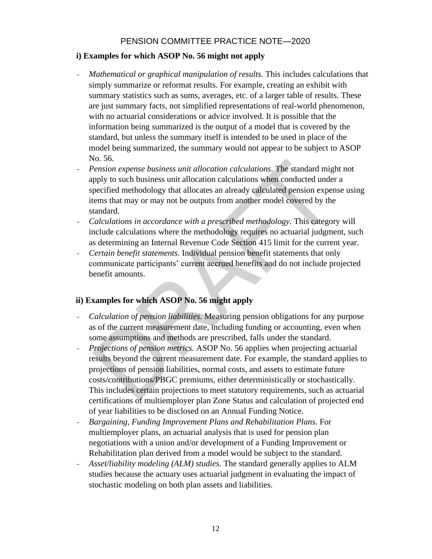#### **i) Examples for which ASOP No. 56 might not apply**

- *Mathematical or graphical manipulation of results.* This includes calculations that simply summarize or reformat results. For example, creating an exhibit with summary statistics such as sums, averages, etc. of a larger table of results. These are just summary facts, not simplified representations of real-world phenomenon, with no actuarial considerations or advice involved. It is possible that the information being summarized is the output of a model that is covered by the standard, but unless the summary itself is intended to be used in place of the model being summarized, the summary would not appear to be subject to ASOP No. 56.
- *Pension expense business unit allocation calculations.* The standard might not apply to such business unit allocation calculations when conducted under a specified methodology that allocates an already calculated pension expense using items that may or may not be outputs from another model covered by the standard.
- *Calculations in accordance with a prescribed methodology.* This category will include calculations where the methodology requires no actuarial judgment, such as determining an Internal Revenue Code Section 415 limit for the current year.
- *Certain benefit statements.* Individual pension benefit statements that only communicate participants' current accrued benefits and do not include projected benefit amounts.

#### **ii) Examples for which ASOP No. 56 might apply**

- *Calculation of pension liabilities.* Measuring pension obligations for any purpose as of the current measurement date, including funding or accounting, even when some assumptions and methods are prescribed, falls under the standard.
- *Projections of pension metrics.* ASOP No. 56 applies when projecting actuarial results beyond the current measurement date. For example, the standard applies to projections of pension liabilities, normal costs, and assets to estimate future costs/contributions/PBGC premiums, either deterministically or stochastically. This includes certain projections to meet statutory requirements, such as actuarial certifications of multiemployer plan Zone Status and calculation of projected end of year liabilities to be disclosed on an Annual Funding Notice.
- *Bargaining, Funding Improvement Plans and Rehabilitation Plans.* For multiemployer plans, an actuarial analysis that is used for pension plan negotiations with a union and/or development of a Funding Improvement or Rehabilitation plan derived from a model would be subject to the standard.
- *Asset/liability modeling (ALM) studies.* The standard generally applies to ALM studies because the actuary uses actuarial judgment in evaluating the impact of stochastic modeling on both plan assets and liabilities.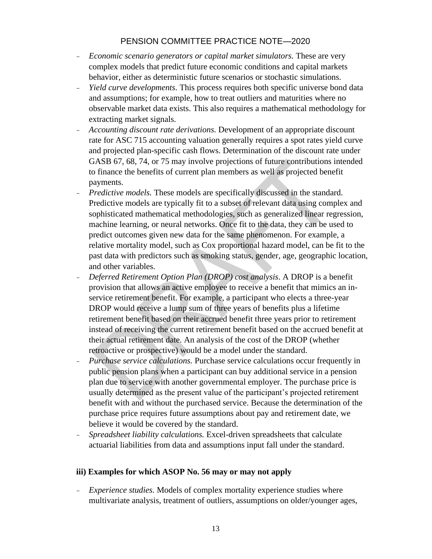- *Economic scenario generators or capital market simulators.* These are very complex models that predict future economic conditions and capital markets behavior, either as deterministic future scenarios or stochastic simulations.
- *Yield curve developments.* This process requires both specific universe bond data and assumptions; for example, how to treat outliers and maturities where no observable market data exists. This also requires a mathematical methodology for extracting market signals.
- *Accounting discount rate derivations.* Development of an appropriate discount rate for ASC 715 accounting valuation generally requires a spot rates yield curve and projected plan-specific cash flows. Determination of the discount rate under GASB 67, 68, 74, or 75 may involve projections of future contributions intended to finance the benefits of current plan members as well as projected benefit payments.
- *Predictive models.* These models are specifically discussed in the standard. Predictive models are typically fit to a subset of relevant data using complex and sophisticated mathematical methodologies, such as generalized linear regression, machine learning, or neural networks. Once fit to the data, they can be used to predict outcomes given new data for the same phenomenon. For example, a relative mortality model, such as Cox proportional hazard model, can be fit to the past data with predictors such as smoking status, gender, age, geographic location, and other variables.
- *Deferred Retirement Option Plan (DROP) cost analysis*. A DROP is a benefit provision that allows an active employee to receive a benefit that mimics an inservice retirement benefit. For example, a participant who elects a three-year DROP would receive a lump sum of three years of benefits plus a lifetime retirement benefit based on their accrued benefit three years prior to retirement instead of receiving the current retirement benefit based on the accrued benefit at their actual retirement date. An analysis of the cost of the DROP (whether retroactive or prospective) would be a model under the standard.
- *Purchase service calculations.* Purchase service calculations occur frequently in public pension plans when a participant can buy additional service in a pension plan due to service with another governmental employer. The purchase price is usually determined as the present value of the participant's projected retirement benefit with and without the purchased service. Because the determination of the purchase price requires future assumptions about pay and retirement date, we believe it would be covered by the standard.
- *Spreadsheet liability calculations.* Excel-driven spreadsheets that calculate actuarial liabilities from data and assumptions input fall under the standard.

#### **iii) Examples for which ASOP No. 56 may or may not apply**

- *Experience studies.* Models of complex mortality experience studies where multivariate analysis, treatment of outliers, assumptions on older/younger ages,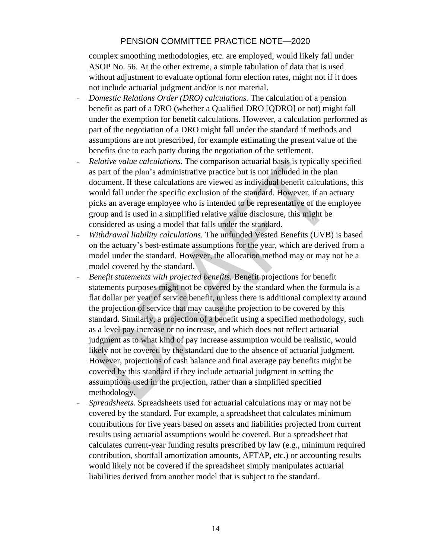complex smoothing methodologies, etc. are employed, would likely fall under ASOP No. 56. At the other extreme, a simple tabulation of data that is used without adjustment to evaluate optional form election rates, might not if it does not include actuarial judgment and/or is not material.

- *Domestic Relations Order (DRO) calculations.* The calculation of a pension benefit as part of a DRO (whether a Qualified DRO [QDRO] or not) might fall under the exemption for benefit calculations. However, a calculation performed as part of the negotiation of a DRO might fall under the standard if methods and assumptions are not prescribed, for example estimating the present value of the benefits due to each party during the negotiation of the settlement.
- *Relative value calculations.* The comparison actuarial basis is typically specified as part of the plan's administrative practice but is not included in the plan document. If these calculations are viewed as individual benefit calculations, this would fall under the specific exclusion of the standard. However, if an actuary picks an average employee who is intended to be representative of the employee group and is used in a simplified relative value disclosure, this might be considered as using a model that falls under the standard.
- *Withdrawal liability calculations.* The unfunded Vested Benefits (UVB) is based on the actuary's best-estimate assumptions for the year, which are derived from a model under the standard. However, the allocation method may or may not be a model covered by the standard.
- *Benefit statements with projected benefits.* Benefit projections for benefit statements purposes might not be covered by the standard when the formula is a flat dollar per year of service benefit, unless there is additional complexity around the projection of service that may cause the projection to be covered by this standard. Similarly, a projection of a benefit using a specified methodology, such as a level pay increase or no increase, and which does not reflect actuarial judgment as to what kind of pay increase assumption would be realistic, would likely not be covered by the standard due to the absence of actuarial judgment. However, projections of cash balance and final average pay benefits might be covered by this standard if they include actuarial judgment in setting the assumptions used in the projection, rather than a simplified specified methodology.
- *Spreadsheets.* Spreadsheets used for actuarial calculations may or may not be covered by the standard. For example, a spreadsheet that calculates minimum contributions for five years based on assets and liabilities projected from current results using actuarial assumptions would be covered. But a spreadsheet that calculates current-year funding results prescribed by law (e.g., minimum required contribution, shortfall amortization amounts, AFTAP, etc.) or accounting results would likely not be covered if the spreadsheet simply manipulates actuarial liabilities derived from another model that is subject to the standard.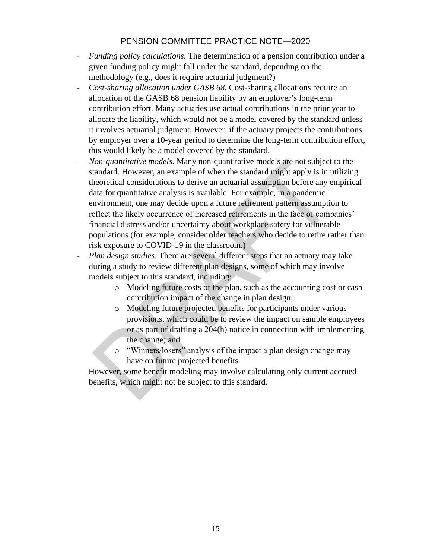- *Funding policy calculations.* The determination of a pension contribution under a given funding policy might fall under the standard, depending on the methodology (e.g., does it require actuarial judgment?)
- *Cost-sharing allocation under GASB 68.* Cost-sharing allocations require an allocation of the GASB 68 pension liability by an employer's long-term contribution effort. Many actuaries use actual contributions in the prior year to allocate the liability, which would not be a model covered by the standard unless it involves actuarial judgment. However, if the actuary projects the contributions by employer over a 10-year period to determine the long-term contribution effort, this would likely be a model covered by the standard.
- *Non-quantitative models.* Many non-quantitative models are not subject to the standard. However, an example of when the standard might apply is in utilizing theoretical considerations to derive an actuarial assumption before any empirical data for quantitative analysis is available. For example, in a pandemic environment, one may decide upon a future retirement pattern assumption to reflect the likely occurrence of increased retirements in the face of companies' financial distress and/or uncertainty about workplace safety for vulnerable populations (for example, consider older teachers who decide to retire rather than risk exposure to COVID-19 in the classroom.)
- *Plan design studies.* There are several different steps that an actuary may take during a study to review different plan designs, some of which may involve models subject to this standard, including:
	- o Modeling future costs of the plan, such as the accounting cost or cash contribution impact of the change in plan design;
	- o Modeling future projected benefits for participants under various provisions, which could be to review the impact on sample employees or as part of drafting a 204(h) notice in connection with implementing the change; and
	- o "Winners/losers" analysis of the impact a plan design change may have on future projected benefits.

However, some benefit modeling may involve calculating only current accrued benefits, which might not be subject to this standard.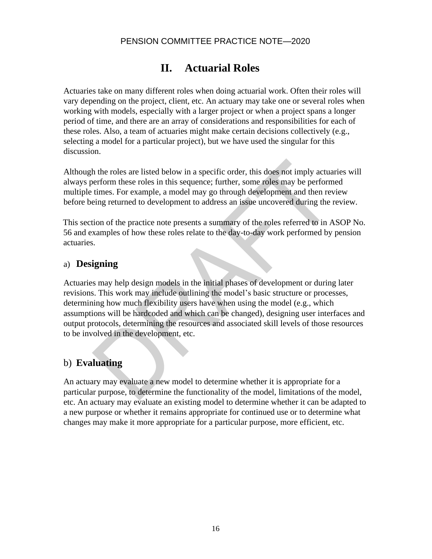# **II. Actuarial Roles**

Actuaries take on many different roles when doing actuarial work. Often their roles will vary depending on the project, client, etc. An actuary may take one or several roles when working with models, especially with a larger project or when a project spans a longer period of time, and there are an array of considerations and responsibilities for each of these roles. Also, a team of actuaries might make certain decisions collectively (e.g., selecting a model for a particular project), but we have used the singular for this discussion.

Although the roles are listed below in a specific order, this does not imply actuaries will always perform these roles in this sequence; further, some roles may be performed multiple times. For example, a model may go through development and then review before being returned to development to address an issue uncovered during the review.

This section of the practice note presents a summary of the roles referred to in ASOP No. 56 and examples of how these roles relate to the day-to-day work performed by pension actuaries.

## a) **Designing**

Actuaries may help design models in the initial phases of development or during later revisions. This work may include outlining the model's basic structure or processes, determining how much flexibility users have when using the model (e.g., which assumptions will be hardcoded and which can be changed), designing user interfaces and output protocols, determining the resources and associated skill levels of those resources to be involved in the development, etc.

## b) **Evaluating**

An actuary may evaluate a new model to determine whether it is appropriate for a particular purpose, to determine the functionality of the model, limitations of the model, etc. An actuary may evaluate an existing model to determine whether it can be adapted to a new purpose or whether it remains appropriate for continued use or to determine what changes may make it more appropriate for a particular purpose, more efficient, etc.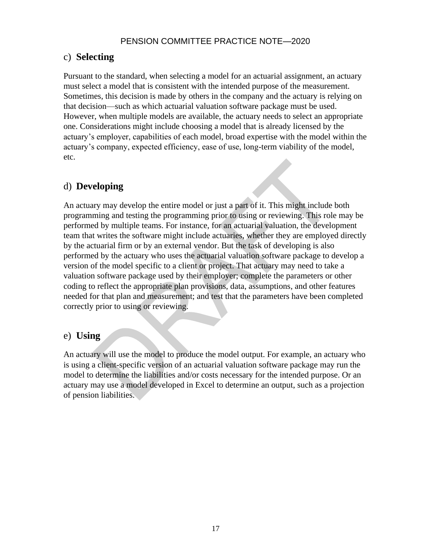## c) **Selecting**

Pursuant to the standard, when selecting a model for an actuarial assignment, an actuary must select a model that is consistent with the intended purpose of the measurement. Sometimes, this decision is made by others in the company and the actuary is relying on that decision—such as which actuarial valuation software package must be used. However, when multiple models are available, the actuary needs to select an appropriate one. Considerations might include choosing a model that is already licensed by the actuary's employer, capabilities of each model, broad expertise with the model within the actuary's company, expected efficiency, ease of use, long-term viability of the model, etc.

## d) **Developing**

An actuary may develop the entire model or just a part of it. This might include both programming and testing the programming prior to using or reviewing. This role may be performed by multiple teams. For instance, for an actuarial valuation, the development team that writes the software might include actuaries, whether they are employed directly by the actuarial firm or by an external vendor. But the task of developing is also performed by the actuary who uses the actuarial valuation software package to develop a version of the model specific to a client or project. That actuary may need to take a valuation software package used by their employer; complete the parameters or other coding to reflect the appropriate plan provisions, data, assumptions, and other features needed for that plan and measurement; and test that the parameters have been completed correctly prior to using or reviewing.

## e) **Using**

An actuary will use the model to produce the model output. For example, an actuary who is using a client-specific version of an actuarial valuation software package may run the model to determine the liabilities and/or costs necessary for the intended purpose. Or an actuary may use a model developed in Excel to determine an output, such as a projection of pension liabilities.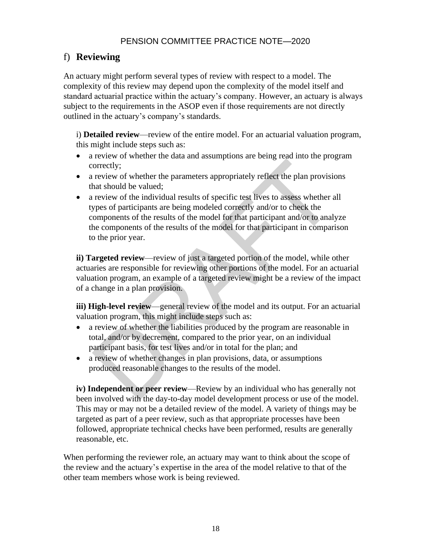## f) **Reviewing**

An actuary might perform several types of review with respect to a model. The complexity of this review may depend upon the complexity of the model itself and standard actuarial practice within the actuary's company. However, an actuary is always subject to the requirements in the ASOP even if those requirements are not directly outlined in the actuary's company's standards.

i) **Detailed review**—review of the entire model. For an actuarial valuation program, this might include steps such as:

- a review of whether the data and assumptions are being read into the program correctly;
- a review of whether the parameters appropriately reflect the plan provisions that should be valued;
- a review of the individual results of specific test lives to assess whether all types of participants are being modeled correctly and/or to check the components of the results of the model for that participant and/or to analyze the components of the results of the model for that participant in comparison to the prior year.

**ii) Targeted review**—review of just a targeted portion of the model, while other actuaries are responsible for reviewing other portions of the model. For an actuarial valuation program, an example of a targeted review might be a review of the impact of a change in a plan provision.

**iii) High-level review—general review of the model and its output. For an actuarial** valuation program, this might include steps such as:

- a review of whether the liabilities produced by the program are reasonable in total, and/or by decrement, compared to the prior year, on an individual participant basis, for test lives and/or in total for the plan; and
- a review of whether changes in plan provisions, data, or assumptions produced reasonable changes to the results of the model.

**iv) Independent or peer review—Review by an individual who has generally not** been involved with the day-to-day model development process or use of the model. This may or may not be a detailed review of the model. A variety of things may be targeted as part of a peer review, such as that appropriate processes have been followed, appropriate technical checks have been performed, results are generally reasonable, etc.

When performing the reviewer role, an actuary may want to think about the scope of the review and the actuary's expertise in the area of the model relative to that of the other team members whose work is being reviewed.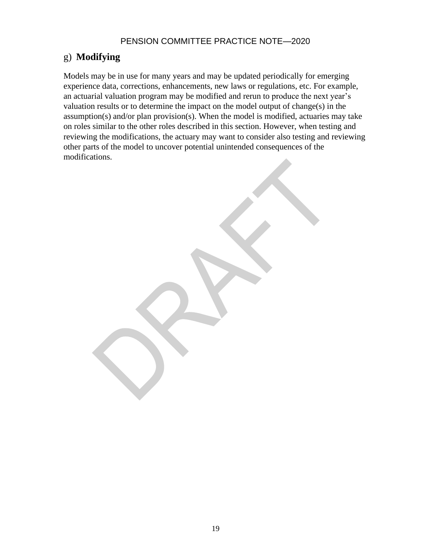# g) **Modifying**

Models may be in use for many years and may be updated periodically for emerging experience data, corrections, enhancements, new laws or regulations, etc. For example, an actuarial valuation program may be modified and rerun to produce the next year's valuation results or to determine the impact on the model output of change(s) in the assumption(s) and/or plan provision(s). When the model is modified, actuaries may take on roles similar to the other roles described in this section. However, when testing and reviewing the modifications, the actuary may want to consider also testing and reviewing other parts of the model to uncover potential unintended consequences of the modifications.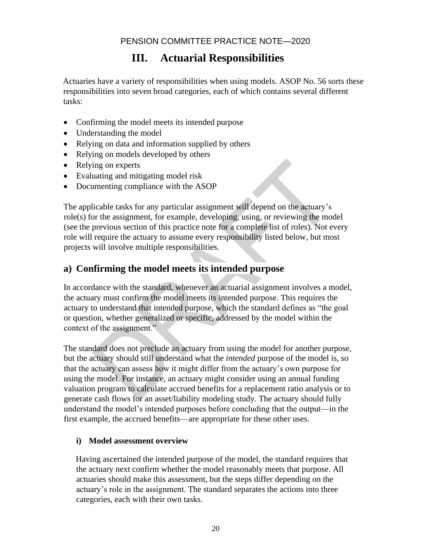# **III. Actuarial Responsibilities**

Actuaries have a variety of responsibilities when using models. ASOP No. 56 sorts these responsibilities into seven broad categories, each of which contains several different tasks:

- Confirming the model meets its intended purpose
- Understanding the model
- Relying on data and information supplied by others
- Relying on models developed by others
- Relying on experts
- Evaluating and mitigating model risk
- Documenting compliance with the ASOP

The applicable tasks for any particular assignment will depend on the actuary's role(s) for the assignment, for example, developing, using, or reviewing the model (see the previous section of this practice note for a complete list of roles). Not every role will require the actuary to assume every responsibility listed below, but most projects will involve multiple responsibilities.

## **a) Confirming the model meets its intended purpose**

In accordance with the standard, whenever an actuarial assignment involves a model, the actuary must confirm the model meets its intended purpose. This requires the actuary to understand that intended purpose, which the standard defines as "the goal or question, whether generalized or specific, addressed by the model within the context of the assignment."

The standard does not preclude an actuary from using the model for another purpose, but the actuary should still understand what the *intended* purpose of the model is, so that the actuary can assess how it might differ from the actuary's own purpose for using the model. For instance, an actuary might consider using an annual funding valuation program to calculate accrued benefits for a replacement ratio analysis or to generate cash flows for an asset/liability modeling study. The actuary should fully understand the model's intended purposes before concluding that the output—in the first example, the accrued benefits—are appropriate for these other uses.

#### **i) Model assessment overview**

Having ascertained the intended purpose of the model, the standard requires that the actuary next confirm whether the model reasonably meets that purpose. All actuaries should make this assessment, but the steps differ depending on the actuary's role in the assignment. The standard separates the actions into three categories, each with their own tasks.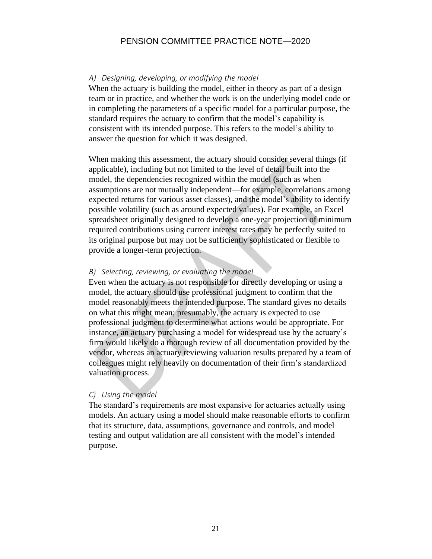#### *A) Designing, developing, or modifying the model*

When the actuary is building the model, either in theory as part of a design team or in practice, and whether the work is on the underlying model code or in completing the parameters of a specific model for a particular purpose, the standard requires the actuary to confirm that the model's capability is consistent with its intended purpose. This refers to the model's ability to answer the question for which it was designed.

When making this assessment, the actuary should consider several things (if applicable), including but not limited to the level of detail built into the model, the dependencies recognized within the model (such as when assumptions are not mutually independent—for example, correlations among expected returns for various asset classes), and the model's ability to identify possible volatility (such as around expected values). For example, an Excel spreadsheet originally designed to develop a one-year projection of minimum required contributions using current interest rates may be perfectly suited to its original purpose but may not be sufficiently sophisticated or flexible to provide a longer-term projection.

#### *B) Selecting, reviewing, or evaluating the model*

Even when the actuary is not responsible for directly developing or using a model, the actuary should use professional judgment to confirm that the model reasonably meets the intended purpose. The standard gives no details on what this might mean; presumably, the actuary is expected to use professional judgment to determine what actions would be appropriate. For instance, an actuary purchasing a model for widespread use by the actuary's firm would likely do a thorough review of all documentation provided by the vendor, whereas an actuary reviewing valuation results prepared by a team of colleagues might rely heavily on documentation of their firm's standardized valuation process.

#### *C) Using the model*

The standard's requirements are most expansive for actuaries actually using models. An actuary using a model should make reasonable efforts to confirm that its structure, data, assumptions, governance and controls, and model testing and output validation are all consistent with the model's intended purpose.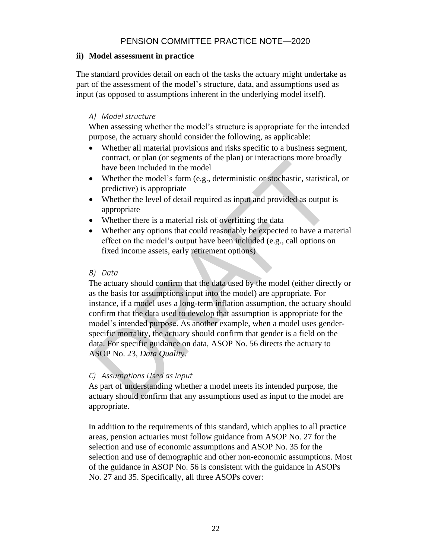#### **ii) Model assessment in practice**

The standard provides detail on each of the tasks the actuary might undertake as part of the assessment of the model's structure, data, and assumptions used as input (as opposed to assumptions inherent in the underlying model itself).

#### *A) Model structure*

When assessing whether the model's structure is appropriate for the intended purpose, the actuary should consider the following, as applicable:

- Whether all material provisions and risks specific to a business segment, contract, or plan (or segments of the plan) or interactions more broadly have been included in the model
- Whether the model's form (e.g., deterministic or stochastic, statistical, or predictive) is appropriate
- Whether the level of detail required as input and provided as output is appropriate
- Whether there is a material risk of overfitting the data
- Whether any options that could reasonably be expected to have a material effect on the model's output have been included (e.g., call options on fixed income assets, early retirement options)

#### *B) Data*

The actuary should confirm that the data used by the model (either directly or as the basis for assumptions input into the model) are appropriate. For instance, if a model uses a long-term inflation assumption, the actuary should confirm that the data used to develop that assumption is appropriate for the model's intended purpose. As another example, when a model uses genderspecific mortality, the actuary should confirm that gender is a field on the data. For specific guidance on data, ASOP No. 56 directs the actuary to ASOP No. 23, *Data Quality*.

#### *C) Assumptions Used as Input*

As part of understanding whether a model meets its intended purpose, the actuary should confirm that any assumptions used as input to the model are appropriate.

In addition to the requirements of this standard, which applies to all practice areas, pension actuaries must follow guidance from ASOP No. 27 for the selection and use of economic assumptions and ASOP No. 35 for the selection and use of demographic and other non-economic assumptions. Most of the guidance in ASOP No. 56 is consistent with the guidance in ASOPs No. 27 and 35. Specifically, all three ASOPs cover: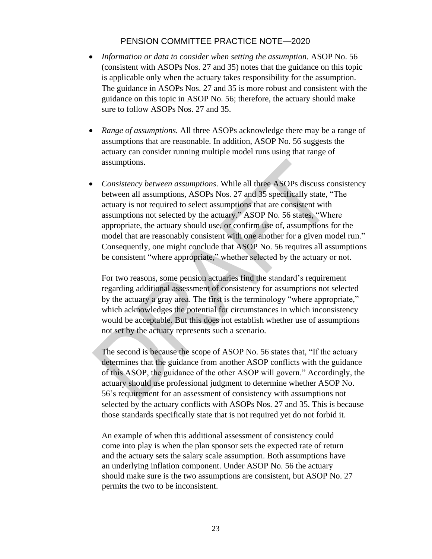- *Information or data to consider when setting the assumption.* ASOP No. 56 (consistent with ASOPs Nos. 27 and 35) notes that the guidance on this topic is applicable only when the actuary takes responsibility for the assumption. The guidance in ASOPs Nos. 27 and 35 is more robust and consistent with the guidance on this topic in ASOP No. 56; therefore, the actuary should make sure to follow ASOPs Nos. 27 and 35.
- *Range of assumptions.* All three ASOPs acknowledge there may be a range of assumptions that are reasonable. In addition, ASOP No. 56 suggests the actuary can consider running multiple model runs using that range of assumptions.
- *Consistency between assumptions.* While all three ASOPs discuss consistency between all assumptions, ASOPs Nos. 27 and 35 specifically state, "The actuary is not required to select assumptions that are consistent with assumptions not selected by the actuary." ASOP No. 56 states, "Where appropriate, the actuary should use, or confirm use of, assumptions for the model that are reasonably consistent with one another for a given model run." Consequently, one might conclude that ASOP No. 56 requires all assumptions be consistent "where appropriate," whether selected by the actuary or not.

For two reasons, some pension actuaries find the standard's requirement regarding additional assessment of consistency for assumptions not selected by the actuary a gray area. The first is the terminology "where appropriate," which acknowledges the potential for circumstances in which inconsistency would be acceptable. But this does not establish whether use of assumptions not set by the actuary represents such a scenario.

The second is because the scope of ASOP No. 56 states that, "If the actuary determines that the guidance from another ASOP conflicts with the guidance of this ASOP, the guidance of the other ASOP will govern." Accordingly, the actuary should use professional judgment to determine whether ASOP No. 56's requirement for an assessment of consistency with assumptions not selected by the actuary conflicts with ASOPs Nos. 27 and 35. This is because those standards specifically state that is not required yet do not forbid it.

An example of when this additional assessment of consistency could come into play is when the plan sponsor sets the expected rate of return and the actuary sets the salary scale assumption. Both assumptions have an underlying inflation component. Under ASOP No. 56 the actuary should make sure is the two assumptions are consistent, but ASOP No. 27 permits the two to be inconsistent.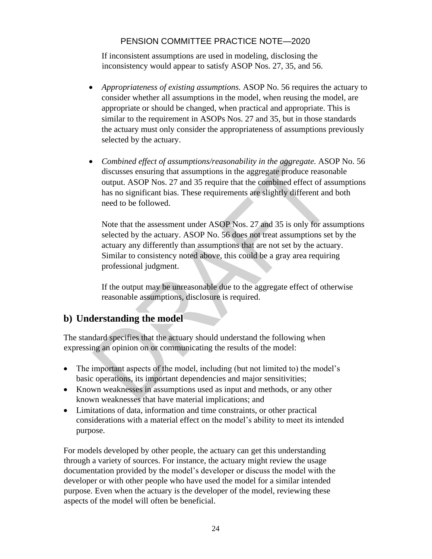If inconsistent assumptions are used in modeling, disclosing the inconsistency would appear to satisfy ASOP Nos. 27, 35, and 56.

- *Appropriateness of existing assumptions.* ASOP No. 56 requires the actuary to consider whether all assumptions in the model, when reusing the model, are appropriate or should be changed, when practical and appropriate. This is similar to the requirement in ASOPs Nos. 27 and 35, but in those standards the actuary must only consider the appropriateness of assumptions previously selected by the actuary.
- *Combined effect of assumptions/reasonability in the aggregate.* ASOP No. 56 discusses ensuring that assumptions in the aggregate produce reasonable output. ASOP Nos. 27 and 35 require that the combined effect of assumptions has no significant bias. These requirements are slightly different and both need to be followed.

Note that the assessment under ASOP Nos. 27 and 35 is only for assumptions selected by the actuary. ASOP No. 56 does not treat assumptions set by the actuary any differently than assumptions that are not set by the actuary. Similar to consistency noted above, this could be a gray area requiring professional judgment.

If the output may be unreasonable due to the aggregate effect of otherwise reasonable assumptions, disclosure is required.

## **b) Understanding the model**

The standard specifies that the actuary should understand the following when expressing an opinion on or communicating the results of the model:

- The important aspects of the model, including (but not limited to) the model's basic operations, its important dependencies and major sensitivities;
- Known weaknesses in assumptions used as input and methods, or any other known weaknesses that have material implications; and
- Limitations of data, information and time constraints, or other practical considerations with a material effect on the model's ability to meet its intended purpose.

For models developed by other people, the actuary can get this understanding through a variety of sources. For instance, the actuary might review the usage documentation provided by the model's developer or discuss the model with the developer or with other people who have used the model for a similar intended purpose. Even when the actuary is the developer of the model, reviewing these aspects of the model will often be beneficial.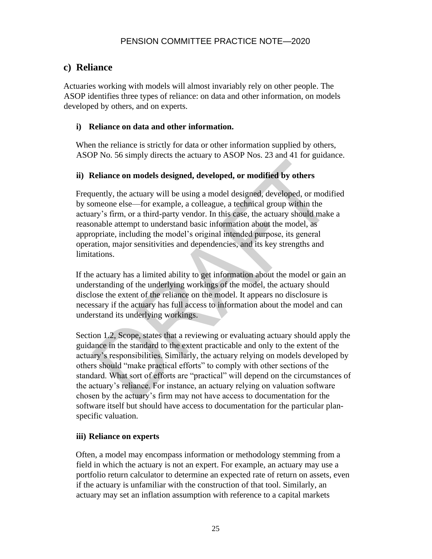## **c) Reliance**

Actuaries working with models will almost invariably rely on other people. The ASOP identifies three types of reliance: on data and other information, on models developed by others, and on experts.

#### **i) Reliance on data and other information.**

When the reliance is strictly for data or other information supplied by others, ASOP No. 56 simply directs the actuary to ASOP Nos. 23 and 41 for guidance.

#### **ii) Reliance on models designed, developed, or modified by others**

Frequently, the actuary will be using a model designed, developed, or modified by someone else—for example, a colleague, a technical group within the actuary's firm, or a third-party vendor. In this case, the actuary should make a reasonable attempt to understand basic information about the model, as appropriate, including the model's original intended purpose, its general operation, major sensitivities and dependencies, and its key strengths and limitations.

If the actuary has a limited ability to get information about the model or gain an understanding of the underlying workings of the model, the actuary should disclose the extent of the reliance on the model. It appears no disclosure is necessary if the actuary has full access to information about the model and can understand its underlying workings.

Section 1.2, Scope, states that a reviewing or evaluating actuary should apply the guidance in the standard to the extent practicable and only to the extent of the actuary's responsibilities. Similarly, the actuary relying on models developed by others should "make practical efforts" to comply with other sections of the standard. What sort of efforts are "practical" will depend on the circumstances of the actuary's reliance. For instance, an actuary relying on valuation software chosen by the actuary's firm may not have access to documentation for the software itself but should have access to documentation for the particular planspecific valuation.

#### **iii) Reliance on experts**

Often, a model may encompass information or methodology stemming from a field in which the actuary is not an expert. For example, an actuary may use a portfolio return calculator to determine an expected rate of return on assets, even if the actuary is unfamiliar with the construction of that tool. Similarly, an actuary may set an inflation assumption with reference to a capital markets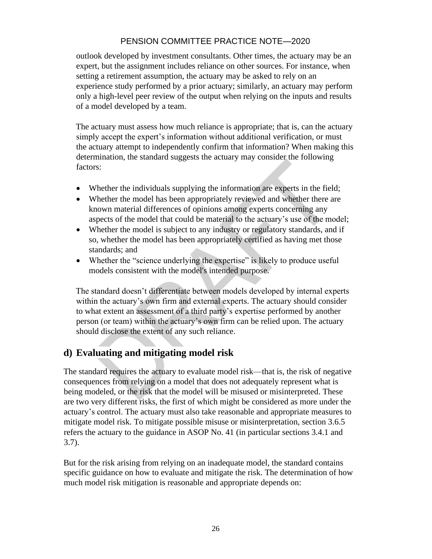outlook developed by investment consultants. Other times, the actuary may be an expert, but the assignment includes reliance on other sources. For instance, when setting a retirement assumption, the actuary may be asked to rely on an experience study performed by a prior actuary; similarly, an actuary may perform only a high-level peer review of the output when relying on the inputs and results of a model developed by a team.

The actuary must assess how much reliance is appropriate; that is, can the actuary simply accept the expert's information without additional verification, or must the actuary attempt to independently confirm that information? When making this determination, the standard suggests the actuary may consider the following factors:

- Whether the individuals supplying the information are experts in the field;
- Whether the model has been appropriately reviewed and whether there are known material differences of opinions among experts concerning any aspects of the model that could be material to the actuary's use of the model;
- Whether the model is subject to any industry or regulatory standards, and if so, whether the model has been appropriately certified as having met those standards; and
- Whether the "science underlying the expertise" is likely to produce useful models consistent with the model's intended purpose.

The standard doesn't differentiate between models developed by internal experts within the actuary's own firm and external experts. The actuary should consider to what extent an assessment of a third party's expertise performed by another person (or team) within the actuary's own firm can be relied upon. The actuary should disclose the extent of any such reliance.

## **d) Evaluating and mitigating model risk**

The standard requires the actuary to evaluate model risk—that is, the risk of negative consequences from relying on a model that does not adequately represent what is being modeled, or the risk that the model will be misused or misinterpreted. These are two very different risks, the first of which might be considered as more under the actuary's control. The actuary must also take reasonable and appropriate measures to mitigate model risk. To mitigate possible misuse or misinterpretation, section 3.6.5 refers the actuary to the guidance in ASOP No. 41 (in particular sections 3.4.1 and 3.7).

But for the risk arising from relying on an inadequate model, the standard contains specific guidance on how to evaluate and mitigate the risk. The determination of how much model risk mitigation is reasonable and appropriate depends on: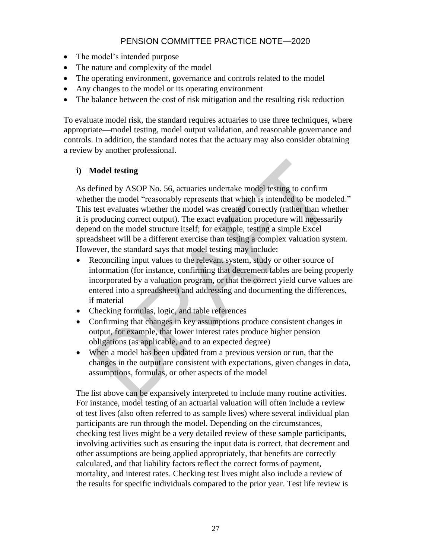- The model's intended purpose
- The nature and complexity of the model
- The operating environment, governance and controls related to the model
- Any changes to the model or its operating environment
- The balance between the cost of risk mitigation and the resulting risk reduction

To evaluate model risk, the standard requires actuaries to use three techniques, where appropriate**—**model testing, model output validation, and reasonable governance and controls. In addition, the standard notes that the actuary may also consider obtaining a review by another professional.

#### **i) Model testing**

As defined by ASOP No. 56, actuaries undertake model testing to confirm whether the model "reasonably represents that which is intended to be modeled." This test evaluates whether the model was created correctly (rather than whether it is producing correct output). The exact evaluation procedure will necessarily depend on the model structure itself; for example, testing a simple Excel spreadsheet will be a different exercise than testing a complex valuation system. However, the standard says that model testing may include:

- Reconciling input values to the relevant system, study or other source of information (for instance, confirming that decrement tables are being properly incorporated by a valuation program, or that the correct yield curve values are entered into a spreadsheet) and addressing and documenting the differences, if material
- Checking formulas, logic, and table references
- Confirming that changes in key assumptions produce consistent changes in output, for example, that lower interest rates produce higher pension obligations (as applicable, and to an expected degree)
- When a model has been updated from a previous version or run, that the changes in the output are consistent with expectations, given changes in data, assumptions, formulas, or other aspects of the model

The list above can be expansively interpreted to include many routine activities. For instance, model testing of an actuarial valuation will often include a review of test lives (also often referred to as sample lives) where several individual plan participants are run through the model. Depending on the circumstances, checking test lives might be a very detailed review of these sample participants, involving activities such as ensuring the input data is correct, that decrement and other assumptions are being applied appropriately, that benefits are correctly calculated, and that liability factors reflect the correct forms of payment, mortality, and interest rates. Checking test lives might also include a review of the results for specific individuals compared to the prior year. Test life review is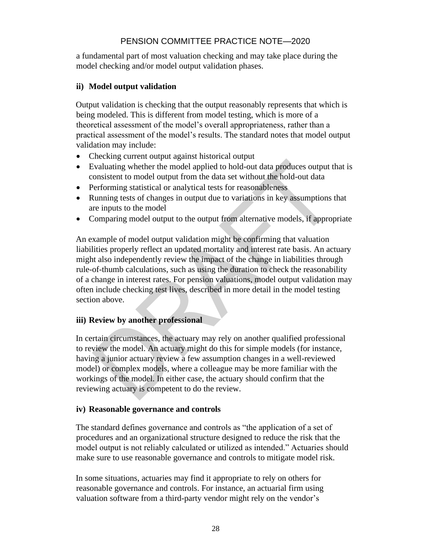a fundamental part of most valuation checking and may take place during the model checking and/or model output validation phases.

#### **ii) Model output validation**

Output validation is checking that the output reasonably represents that which is being modeled. This is different from model testing, which is more of a theoretical assessment of the model's overall appropriateness, rather than a practical assessment of the model's results. The standard notes that model output validation may include:

- Checking current output against historical output
- Evaluating whether the model applied to hold-out data produces output that is consistent to model output from the data set without the hold-out data
- Performing statistical or analytical tests for reasonableness
- Running tests of changes in output due to variations in key assumptions that are inputs to the model
- Comparing model output to the output from alternative models, if appropriate

An example of model output validation might be confirming that valuation liabilities properly reflect an updated mortality and interest rate basis. An actuary might also independently review the impact of the change in liabilities through rule-of-thumb calculations, such as using the duration to check the reasonability of a change in interest rates. For pension valuations, model output validation may often include checking test lives, described in more detail in the model testing section above.

#### **iii) Review by another professional**

In certain circumstances, the actuary may rely on another qualified professional to review the model. An actuary might do this for simple models (for instance, having a junior actuary review a few assumption changes in a well-reviewed model) or complex models, where a colleague may be more familiar with the workings of the model. In either case, the actuary should confirm that the reviewing actuary is competent to do the review.

#### **iv) Reasonable governance and controls**

The standard defines governance and controls as "the application of a set of procedures and an organizational structure designed to reduce the risk that the model output is not reliably calculated or utilized as intended." Actuaries should make sure to use reasonable governance and controls to mitigate model risk.

In some situations, actuaries may find it appropriate to rely on others for reasonable governance and controls. For instance, an actuarial firm using valuation software from a third-party vendor might rely on the vendor's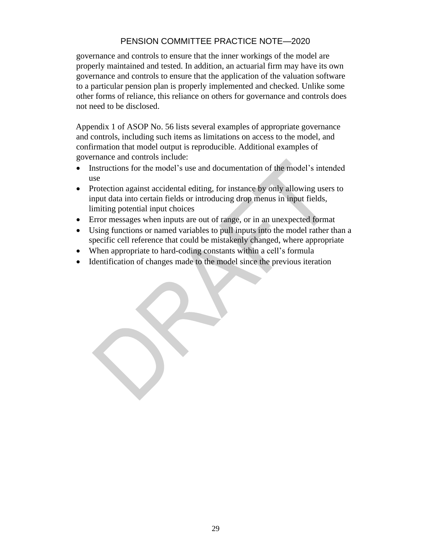governance and controls to ensure that the inner workings of the model are properly maintained and tested. In addition, an actuarial firm may have its own governance and controls to ensure that the application of the valuation software to a particular pension plan is properly implemented and checked. Unlike some other forms of reliance, this reliance on others for governance and controls does not need to be disclosed.

Appendix 1 of ASOP No. 56 lists several examples of appropriate governance and controls, including such items as limitations on access to the model, and confirmation that model output is reproducible. Additional examples of governance and controls include:

- Instructions for the model's use and documentation of the model's intended use
- Protection against accidental editing, for instance by only allowing users to input data into certain fields or introducing drop menus in input fields, limiting potential input choices
- Error messages when inputs are out of range, or in an unexpected format
- Using functions or named variables to pull inputs into the model rather than a specific cell reference that could be mistakenly changed, where appropriate
- When appropriate to hard-coding constants within a cell's formula
- Identification of changes made to the model since the previous iteration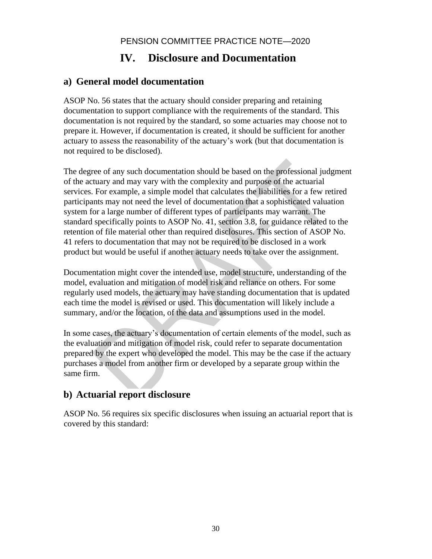# **IV. Disclosure and Documentation**

## **a) General model documentation**

ASOP No. 56 states that the actuary should consider preparing and retaining documentation to support compliance with the requirements of the standard. This documentation is not required by the standard, so some actuaries may choose not to prepare it. However, if documentation is created, it should be sufficient for another actuary to assess the reasonability of the actuary's work (but that documentation is not required to be disclosed).

The degree of any such documentation should be based on the professional judgment of the actuary and may vary with the complexity and purpose of the actuarial services. For example, a simple model that calculates the liabilities for a few retired participants may not need the level of documentation that a sophisticated valuation system for a large number of different types of participants may warrant. The standard specifically points to ASOP No. 41, section 3.8, for guidance related to the retention of file material other than required disclosures. This section of ASOP No. 41 refers to documentation that may not be required to be disclosed in a work product but would be useful if another actuary needs to take over the assignment.

Documentation might cover the intended use, model structure, understanding of the model, evaluation and mitigation of model risk and reliance on others. For some regularly used models, the actuary may have standing documentation that is updated each time the model is revised or used. This documentation will likely include a summary, and/or the location, of the data and assumptions used in the model.

In some cases, the actuary's documentation of certain elements of the model, such as the evaluation and mitigation of model risk, could refer to separate documentation prepared by the expert who developed the model. This may be the case if the actuary purchases a model from another firm or developed by a separate group within the same firm.

## **b) Actuarial report disclosure**

ASOP No. 56 requires six specific disclosures when issuing an actuarial report that is covered by this standard: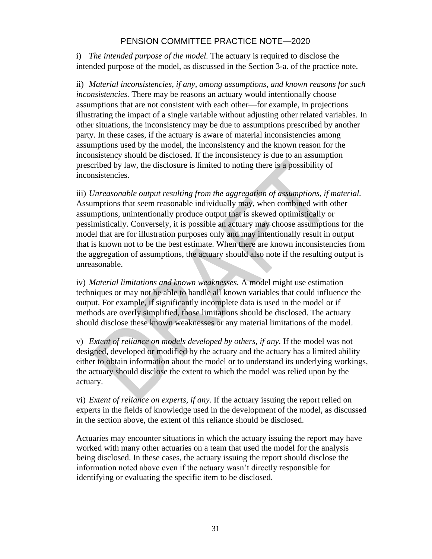i) *The intended purpose of the model.* The actuary is required to disclose the intended purpose of the model, as discussed in the Section 3-a. of the practice note.

ii) *Material inconsistencies, if any, among assumptions, and known reasons for such inconsistencies.* There may be reasons an actuary would intentionally choose assumptions that are not consistent with each other—for example, in projections illustrating the impact of a single variable without adjusting other related variables. In other situations, the inconsistency may be due to assumptions prescribed by another party. In these cases, if the actuary is aware of material inconsistencies among assumptions used by the model, the inconsistency and the known reason for the inconsistency should be disclosed. If the inconsistency is due to an assumption prescribed by law, the disclosure is limited to noting there is a possibility of inconsistencies.

iii) *Unreasonable output resulting from the aggregation of assumptions, if material.* Assumptions that seem reasonable individually may, when combined with other assumptions, unintentionally produce output that is skewed optimistically or pessimistically. Conversely, it is possible an actuary may choose assumptions for the model that are for illustration purposes only and may intentionally result in output that is known not to be the best estimate. When there are known inconsistencies from the aggregation of assumptions, the actuary should also note if the resulting output is unreasonable.

iv) *Material limitations and known weaknesses.* A model might use estimation techniques or may not be able to handle all known variables that could influence the output. For example, if significantly incomplete data is used in the model or if methods are overly simplified, those limitations should be disclosed. The actuary should disclose these known weaknesses or any material limitations of the model.

v) *Extent of reliance on models developed by others, if any.* If the model was not designed, developed or modified by the actuary and the actuary has a limited ability either to obtain information about the model or to understand its underlying workings, the actuary should disclose the extent to which the model was relied upon by the actuary.

vi) *Extent of reliance on experts, if any.* If the actuary issuing the report relied on experts in the fields of knowledge used in the development of the model, as discussed in the section above, the extent of this reliance should be disclosed.

Actuaries may encounter situations in which the actuary issuing the report may have worked with many other actuaries on a team that used the model for the analysis being disclosed. In these cases, the actuary issuing the report should disclose the information noted above even if the actuary wasn't directly responsible for identifying or evaluating the specific item to be disclosed.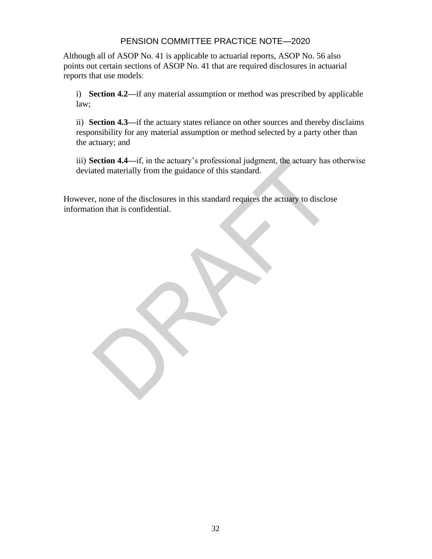Although all of ASOP No. 41 is applicable to actuarial reports, ASOP No. 56 also points out certain sections of ASOP No. 41 that are required disclosures in actuarial reports that use models:

i) **Section 4.2—**if any material assumption or method was prescribed by applicable law;

ii) **Section 4.3—**if the actuary states reliance on other sources and thereby disclaims responsibility for any material assumption or method selected by a party other than the actuary; and

iii) **Section 4.4—**if, in the actuary's professional judgment, the actuary has otherwise deviated materially from the guidance of this standard.

However, none of the disclosures in this standard requires the actuary to disclose information that is confidential.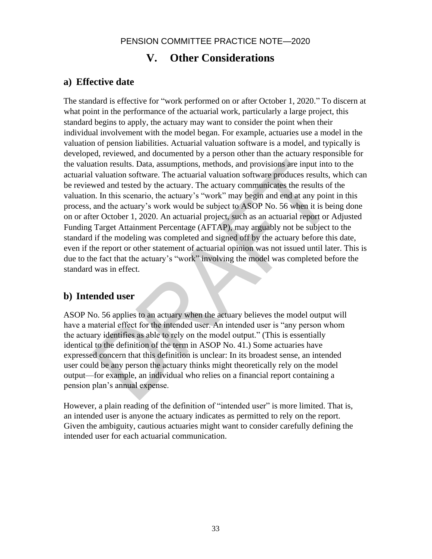# **V. Other Considerations**

### **a) Effective date**

The standard is effective for "work performed on or after October 1, 2020." To discern at what point in the performance of the actuarial work, particularly a large project, this standard begins to apply, the actuary may want to consider the point when their individual involvement with the model began. For example, actuaries use a model in the valuation of pension liabilities. Actuarial valuation software is a model, and typically is developed, reviewed, and documented by a person other than the actuary responsible for the valuation results. Data, assumptions, methods, and provisions are input into to the actuarial valuation software. The actuarial valuation software produces results, which can be reviewed and tested by the actuary. The actuary communicates the results of the valuation. In this scenario, the actuary's "work" may begin and end at any point in this process, and the actuary's work would be subject to ASOP No. 56 when it is being done on or after October 1, 2020. An actuarial project, such as an actuarial report or Adjusted Funding Target Attainment Percentage (AFTAP), may arguably not be subject to the standard if the modeling was completed and signed off by the actuary before this date, even if the report or other statement of actuarial opinion was not issued until later. This is due to the fact that the actuary's "work" involving the model was completed before the standard was in effect.

## **b) Intended user**

ASOP No. 56 applies to an actuary when the actuary believes the model output will have a material effect for the intended user. An intended user is "any person whom the actuary identifies as able to rely on the model output." (This is essentially identical to the definition of the term in ASOP No. 41.) Some actuaries have expressed concern that this definition is unclear: In its broadest sense, an intended user could be any person the actuary thinks might theoretically rely on the model output—for example, an individual who relies on a financial report containing a pension plan's annual expense.

However, a plain reading of the definition of "intended user" is more limited. That is, an intended user is anyone the actuary indicates as permitted to rely on the report. Given the ambiguity, cautious actuaries might want to consider carefully defining the intended user for each actuarial communication.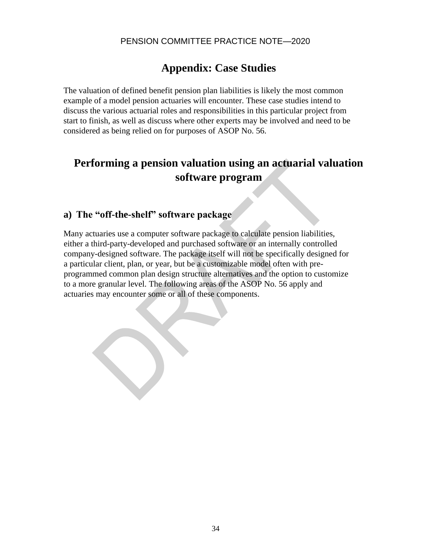# **Appendix: Case Studies**

The valuation of defined benefit pension plan liabilities is likely the most common example of a model pension actuaries will encounter. These case studies intend to discuss the various actuarial roles and responsibilities in this particular project from start to finish, as well as discuss where other experts may be involved and need to be considered as being relied on for purposes of ASOP No. 56.

# **Performing a pension valuation using an actuarial valuation software program**

## **a) The "off-the-shelf" software package**

Many actuaries use a computer software package to calculate pension liabilities, either a third-party-developed and purchased software or an internally controlled company-designed software. The package itself will not be specifically designed for a particular client, plan, or year, but be a customizable model often with preprogrammed common plan design structure alternatives and the option to customize to a more granular level. The following areas of the ASOP No. 56 apply and actuaries may encounter some or all of these components.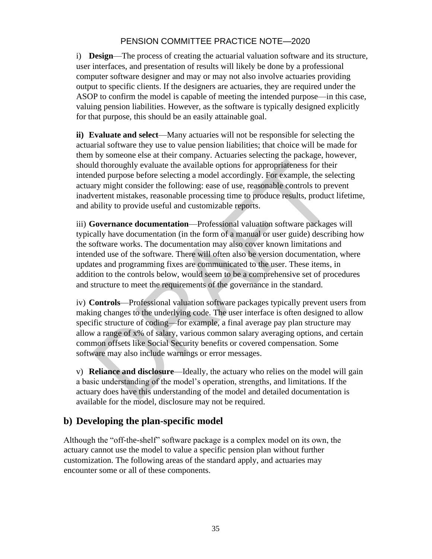i) **Design**—The process of creating the actuarial valuation software and its structure, user interfaces, and presentation of results will likely be done by a professional computer software designer and may or may not also involve actuaries providing output to specific clients. If the designers are actuaries, they are required under the ASOP to confirm the model is capable of meeting the intended purpose—in this case, valuing pension liabilities. However, as the software is typically designed explicitly for that purpose, this should be an easily attainable goal.

**ii) Evaluate and select**—Many actuaries will not be responsible for selecting the actuarial software they use to value pension liabilities; that choice will be made for them by someone else at their company. Actuaries selecting the package, however, should thoroughly evaluate the available options for appropriateness for their intended purpose before selecting a model accordingly. For example, the selecting actuary might consider the following: ease of use, reasonable controls to prevent inadvertent mistakes, reasonable processing time to produce results, product lifetime, and ability to provide useful and customizable reports.

iii) **Governance documentation**—Professional valuation software packages will typically have documentation (in the form of a manual or user guide) describing how the software works. The documentation may also cover known limitations and intended use of the software. There will often also be version documentation, where updates and programming fixes are communicated to the user. These items, in addition to the controls below, would seem to be a comprehensive set of procedures and structure to meet the requirements of the governance in the standard.

iv) **Controls**—Professional valuation software packages typically prevent users from making changes to the underlying code. The user interface is often designed to allow specific structure of coding—for example, a final average pay plan structure may allow a range of x% of salary, various common salary averaging options, and certain common offsets like Social Security benefits or covered compensation. Some software may also include warnings or error messages.

v) **Reliance and disclosure**—Ideally, the actuary who relies on the model will gain a basic understanding of the model's operation, strengths, and limitations. If the actuary does have this understanding of the model and detailed documentation is available for the model, disclosure may not be required.

## **b) Developing the plan-specific model**

Although the "off-the-shelf" software package is a complex model on its own, the actuary cannot use the model to value a specific pension plan without further customization. The following areas of the standard apply, and actuaries may encounter some or all of these components.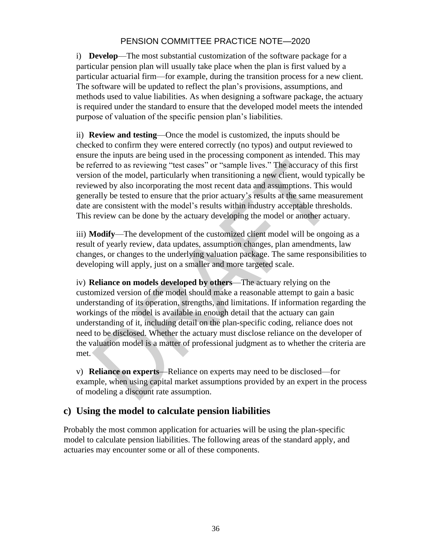i) **Develop**—The most substantial customization of the software package for a particular pension plan will usually take place when the plan is first valued by a particular actuarial firm—for example, during the transition process for a new client. The software will be updated to reflect the plan's provisions, assumptions, and methods used to value liabilities. As when designing a software package, the actuary is required under the standard to ensure that the developed model meets the intended purpose of valuation of the specific pension plan's liabilities.

ii) **Review and testing**—Once the model is customized, the inputs should be checked to confirm they were entered correctly (no typos) and output reviewed to ensure the inputs are being used in the processing component as intended. This may be referred to as reviewing "test cases" or "sample lives." The accuracy of this first version of the model, particularly when transitioning a new client, would typically be reviewed by also incorporating the most recent data and assumptions. This would generally be tested to ensure that the prior actuary's results at the same measurement date are consistent with the model's results within industry acceptable thresholds. This review can be done by the actuary developing the model or another actuary.

iii) **Modify**—The development of the customized client model will be ongoing as a result of yearly review, data updates, assumption changes, plan amendments, law changes, or changes to the underlying valuation package. The same responsibilities to developing will apply, just on a smaller and more targeted scale.

iv) **Reliance on models developed by others**—The actuary relying on the customized version of the model should make a reasonable attempt to gain a basic understanding of its operation, strengths, and limitations. If information regarding the workings of the model is available in enough detail that the actuary can gain understanding of it, including detail on the plan-specific coding, reliance does not need to be disclosed. Whether the actuary must disclose reliance on the developer of the valuation model is a matter of professional judgment as to whether the criteria are met.

v) **Reliance on experts**—Reliance on experts may need to be disclosed—for example, when using capital market assumptions provided by an expert in the process of modeling a discount rate assumption.

## **c) Using the model to calculate pension liabilities**

Probably the most common application for actuaries will be using the plan-specific model to calculate pension liabilities. The following areas of the standard apply, and actuaries may encounter some or all of these components.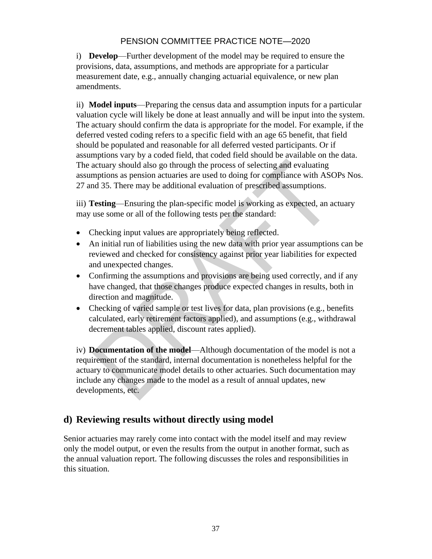i) **Develop**—Further development of the model may be required to ensure the provisions, data, assumptions, and methods are appropriate for a particular measurement date, e.g., annually changing actuarial equivalence, or new plan amendments.

ii) **Model inputs**—Preparing the census data and assumption inputs for a particular valuation cycle will likely be done at least annually and will be input into the system. The actuary should confirm the data is appropriate for the model. For example, if the deferred vested coding refers to a specific field with an age 65 benefit, that field should be populated and reasonable for all deferred vested participants. Or if assumptions vary by a coded field, that coded field should be available on the data. The actuary should also go through the process of selecting and evaluating assumptions as pension actuaries are used to doing for compliance with ASOPs Nos. 27 and 35. There may be additional evaluation of prescribed assumptions.

iii) **Testing**—Ensuring the plan-specific model is working as expected, an actuary may use some or all of the following tests per the standard:

- Checking input values are appropriately being reflected.
- An initial run of liabilities using the new data with prior year assumptions can be reviewed and checked for consistency against prior year liabilities for expected and unexpected changes.
- Confirming the assumptions and provisions are being used correctly, and if any have changed, that those changes produce expected changes in results, both in direction and magnitude.
- Checking of varied sample or test lives for data, plan provisions (e.g., benefits calculated, early retirement factors applied), and assumptions (e.g., withdrawal decrement tables applied, discount rates applied).

iv) **Documentation of the model**—Although documentation of the model is not a requirement of the standard, internal documentation is nonetheless helpful for the actuary to communicate model details to other actuaries. Such documentation may include any changes made to the model as a result of annual updates, new developments, etc.

## **d) Reviewing results without directly using model**

Senior actuaries may rarely come into contact with the model itself and may review only the model output, or even the results from the output in another format, such as the annual valuation report. The following discusses the roles and responsibilities in this situation.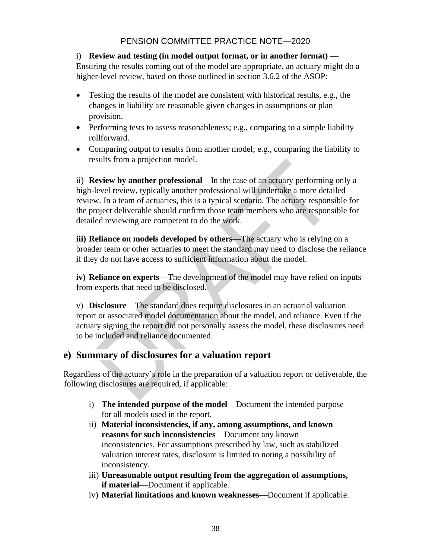#### i) **Review and testing (in model output format, or in another format)** — Ensuring the results coming out of the model are appropriate, an actuary might do a higher-level review, based on those outlined in section 3.6.2 of the ASOP:

- Testing the results of the model are consistent with historical results, e.g., the changes in liability are reasonable given changes in assumptions or plan provision.
- Performing tests to assess reasonableness; e.g., comparing to a simple liability rollforward.
- Comparing output to results from another model; e.g., comparing the liability to results from a projection model.

ii) **Review by another professional**—In the case of an actuary performing only a high-level review, typically another professional will undertake a more detailed review. In a team of actuaries, this is a typical scenario. The actuary responsible for the project deliverable should confirm those team members who are responsible for detailed reviewing are competent to do the work.

**iii) Reliance on models developed by others**—The actuary who is relying on a broader team or other actuaries to meet the standard may need to disclose the reliance if they do not have access to sufficient information about the model.

**iv) Reliance on experts**—The development of the model may have relied on inputs from experts that need to be disclosed.

v) **Disclosure**—The standard does require disclosures in an actuarial valuation report or associated model documentation about the model, and reliance. Even if the actuary signing the report did not personally assess the model, these disclosures need to be included and reliance documented.

## **e) Summary of disclosures for a valuation report**

Regardless of the actuary's role in the preparation of a valuation report or deliverable, the following disclosures are required, if applicable:

- i) **The intended purpose of the model**—Document the intended purpose for all models used in the report.
- ii) **Material inconsistencies, if any, among assumptions, and known reasons for such inconsistencies**—Document any known inconsistencies. For assumptions prescribed by law, such as stabilized valuation interest rates, disclosure is limited to noting a possibility of inconsistency.
- iii) **Unreasonable output resulting from the aggregation of assumptions, if material**—Document if applicable.
- iv) **Material limitations and known weaknesses**—Document if applicable.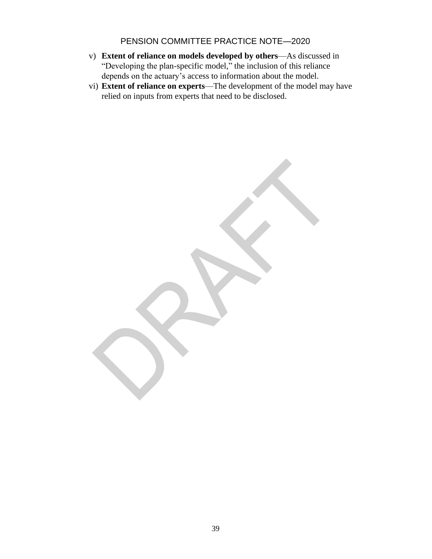- v) **Extent of reliance on models developed by others**—As discussed in "Developing the plan-specific model," the inclusion of this reliance depends on the actuary's access to information about the model.
- vi) **Extent of reliance on experts**—The development of the model may have relied on inputs from experts that need to be disclosed.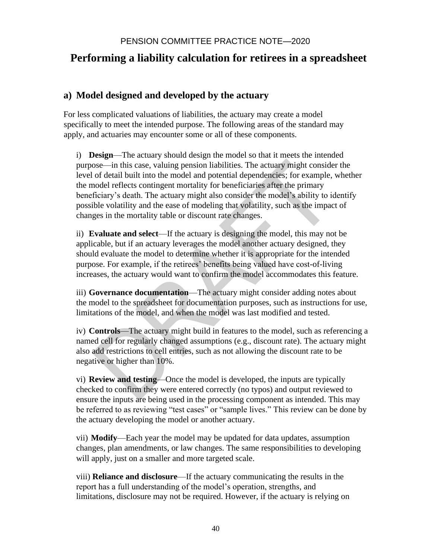# **Performing a liability calculation for retirees in a spreadsheet**

## **a) Model designed and developed by the actuary**

For less complicated valuations of liabilities, the actuary may create a model specifically to meet the intended purpose. The following areas of the standard may apply, and actuaries may encounter some or all of these components.

i) **Design**—The actuary should design the model so that it meets the intended purpose—in this case, valuing pension liabilities. The actuary might consider the level of detail built into the model and potential dependencies; for example, whether the model reflects contingent mortality for beneficiaries after the primary beneficiary's death. The actuary might also consider the model's ability to identify possible volatility and the ease of modeling that volatility, such as the impact of changes in the mortality table or discount rate changes.

ii) **Evaluate and select**—If the actuary is designing the model, this may not be applicable, but if an actuary leverages the model another actuary designed, they should evaluate the model to determine whether it is appropriate for the intended purpose. For example, if the retirees' benefits being valued have cost-of-living increases, the actuary would want to confirm the model accommodates this feature.

iii) **Governance documentation**—The actuary might consider adding notes about the model to the spreadsheet for documentation purposes, such as instructions for use, limitations of the model, and when the model was last modified and tested.

iv) **Controls**—The actuary might build in features to the model, such as referencing a named cell for regularly changed assumptions (e.g., discount rate). The actuary might also add restrictions to cell entries, such as not allowing the discount rate to be negative or higher than 10%.

vi) **Review and testing**—Once the model is developed, the inputs are typically checked to confirm they were entered correctly (no typos) and output reviewed to ensure the inputs are being used in the processing component as intended. This may be referred to as reviewing "test cases" or "sample lives." This review can be done by the actuary developing the model or another actuary.

vii) **Modify**—Each year the model may be updated for data updates, assumption changes, plan amendments, or law changes. The same responsibilities to developing will apply, just on a smaller and more targeted scale.

viii) **Reliance and disclosure**—If the actuary communicating the results in the report has a full understanding of the model's operation, strengths, and limitations, disclosure may not be required. However, if the actuary is relying on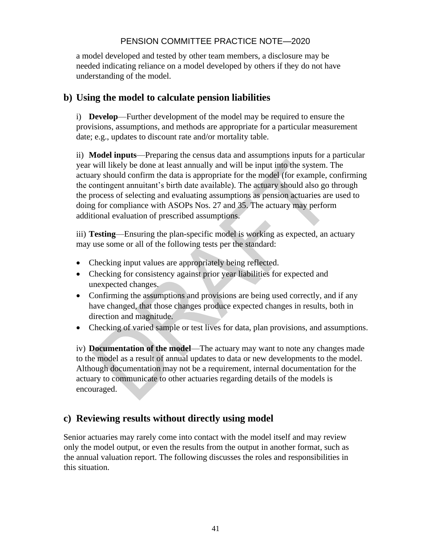a model developed and tested by other team members, a disclosure may be needed indicating reliance on a model developed by others if they do not have understanding of the model.

## **b) Using the model to calculate pension liabilities**

i) **Develop**—Further development of the model may be required to ensure the provisions, assumptions, and methods are appropriate for a particular measurement date; e.g., updates to discount rate and/or mortality table.

ii) **Model inputs**—Preparing the census data and assumptions inputs for a particular year will likely be done at least annually and will be input into the system. The actuary should confirm the data is appropriate for the model (for example, confirming the contingent annuitant's birth date available). The actuary should also go through the process of selecting and evaluating assumptions as pension actuaries are used to doing for compliance with ASOPs Nos. 27 and 35. The actuary may perform additional evaluation of prescribed assumptions.

iii) **Testing**—Ensuring the plan-specific model is working as expected, an actuary may use some or all of the following tests per the standard:

- Checking input values are appropriately being reflected.
- Checking for consistency against prior year liabilities for expected and unexpected changes.
- Confirming the assumptions and provisions are being used correctly, and if any have changed, that those changes produce expected changes in results, both in direction and magnitude.
- Checking of varied sample or test lives for data, plan provisions, and assumptions.

iv) **Documentation of the model**—The actuary may want to note any changes made to the model as a result of annual updates to data or new developments to the model. Although documentation may not be a requirement, internal documentation for the actuary to communicate to other actuaries regarding details of the models is encouraged.

## **c) Reviewing results without directly using model**

Senior actuaries may rarely come into contact with the model itself and may review only the model output, or even the results from the output in another format, such as the annual valuation report. The following discusses the roles and responsibilities in this situation.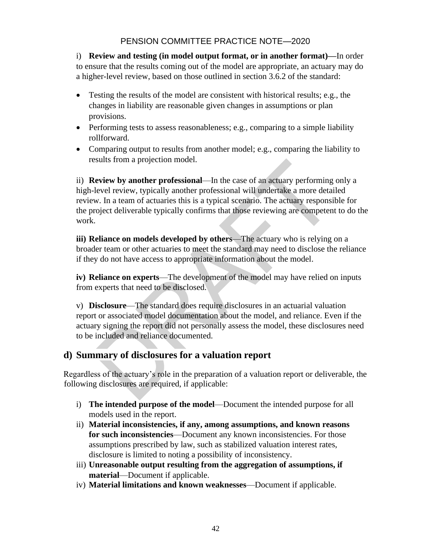i) **Review and testing (in model output format, or in another format)—**In order to ensure that the results coming out of the model are appropriate, an actuary may do a higher-level review, based on those outlined in section 3.6.2 of the standard:

- Testing the results of the model are consistent with historical results; e.g., the changes in liability are reasonable given changes in assumptions or plan provisions.
- Performing tests to assess reasonableness; e.g., comparing to a simple liability rollforward.
- Comparing output to results from another model; e.g., comparing the liability to results from a projection model.

ii) **Review by another professional**—In the case of an actuary performing only a high-level review, typically another professional will undertake a more detailed review. In a team of actuaries this is a typical scenario. The actuary responsible for the project deliverable typically confirms that those reviewing are competent to do the work.

**iii) Reliance on models developed by others**—The actuary who is relying on a broader team or other actuaries to meet the standard may need to disclose the reliance if they do not have access to appropriate information about the model.

**iv) Reliance on experts**—The development of the model may have relied on inputs from experts that need to be disclosed.

v) **Disclosure**—The standard does require disclosures in an actuarial valuation report or associated model documentation about the model, and reliance. Even if the actuary signing the report did not personally assess the model, these disclosures need to be included and reliance documented.

## **d) Summary of disclosures for a valuation report**

Regardless of the actuary's role in the preparation of a valuation report or deliverable, the following disclosures are required, if applicable:

- i) **The intended purpose of the model**—Document the intended purpose for all models used in the report.
- ii) **Material inconsistencies, if any, among assumptions, and known reasons for such inconsistencies**—Document any known inconsistencies. For those assumptions prescribed by law, such as stabilized valuation interest rates, disclosure is limited to noting a possibility of inconsistency.
- iii) **Unreasonable output resulting from the aggregation of assumptions, if material**—Document if applicable.
- iv) **Material limitations and known weaknesses**—Document if applicable.